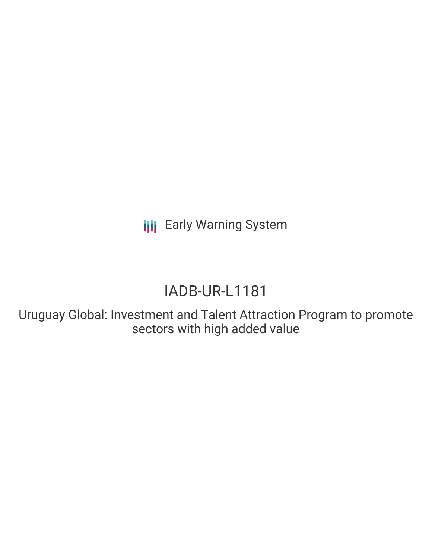**III** Early Warning System

# IADB-UR-L1181

Uruguay Global: Investment and Talent Attraction Program to promote sectors with high added value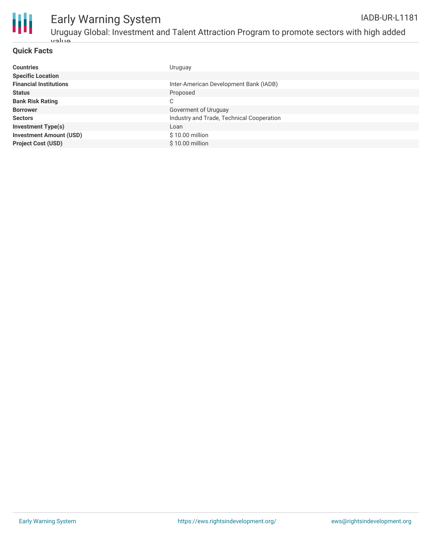

#### **Quick Facts**

| <b>Countries</b>               | Uruguay                                   |
|--------------------------------|-------------------------------------------|
| <b>Specific Location</b>       |                                           |
| <b>Financial Institutions</b>  | Inter-American Development Bank (IADB)    |
| <b>Status</b>                  | Proposed                                  |
| <b>Bank Risk Rating</b>        | C                                         |
| <b>Borrower</b>                | Goverment of Uruguay                      |
| <b>Sectors</b>                 | Industry and Trade, Technical Cooperation |
| <b>Investment Type(s)</b>      | Loan                                      |
| <b>Investment Amount (USD)</b> | $$10.00$ million                          |
| <b>Project Cost (USD)</b>      | \$10.00 million                           |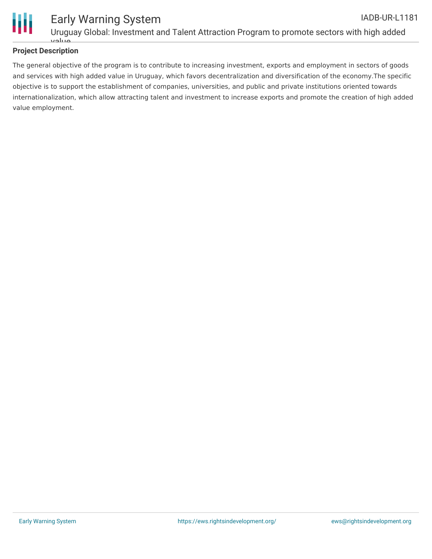

## **Project Description**

The general objective of the program is to contribute to increasing investment, exports and employment in sectors of goods and services with high added value in Uruguay, which favors decentralization and diversification of the economy.The specific objective is to support the establishment of companies, universities, and public and private institutions oriented towards internationalization, which allow attracting talent and investment to increase exports and promote the creation of high added value employment.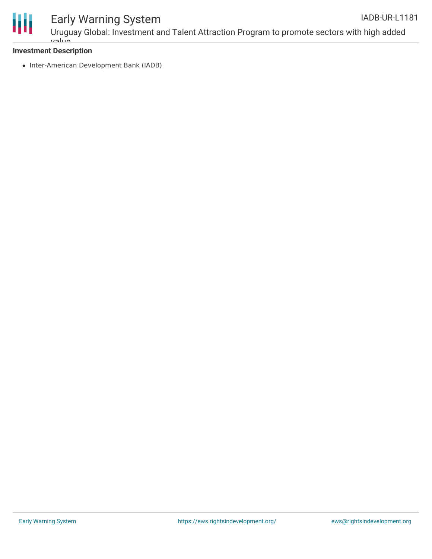

#### Early Warning System Uruguay Global: Investment and Talent Attraction Program to promote sectors with high added IADB-UR-L1181

# **Investment Description**

value

• Inter-American Development Bank (IADB)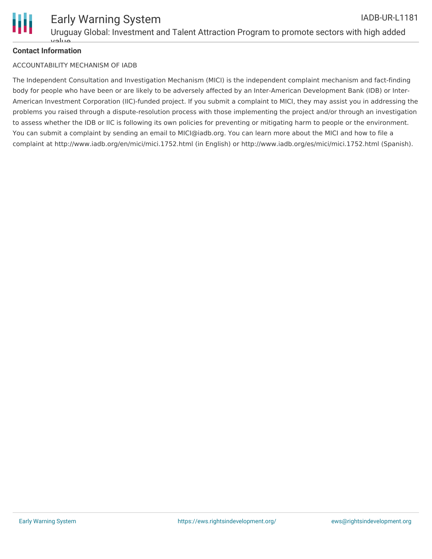

# **Contact Information**

#### ACCOUNTABILITY MECHANISM OF IADB

The Independent Consultation and Investigation Mechanism (MICI) is the independent complaint mechanism and fact-finding body for people who have been or are likely to be adversely affected by an Inter-American Development Bank (IDB) or Inter-American Investment Corporation (IIC)-funded project. If you submit a complaint to MICI, they may assist you in addressing the problems you raised through a dispute-resolution process with those implementing the project and/or through an investigation to assess whether the IDB or IIC is following its own policies for preventing or mitigating harm to people or the environment. You can submit a complaint by sending an email to MICI@iadb.org. You can learn more about the MICI and how to file a complaint at http://www.iadb.org/en/mici/mici.1752.html (in English) or http://www.iadb.org/es/mici/mici.1752.html (Spanish).